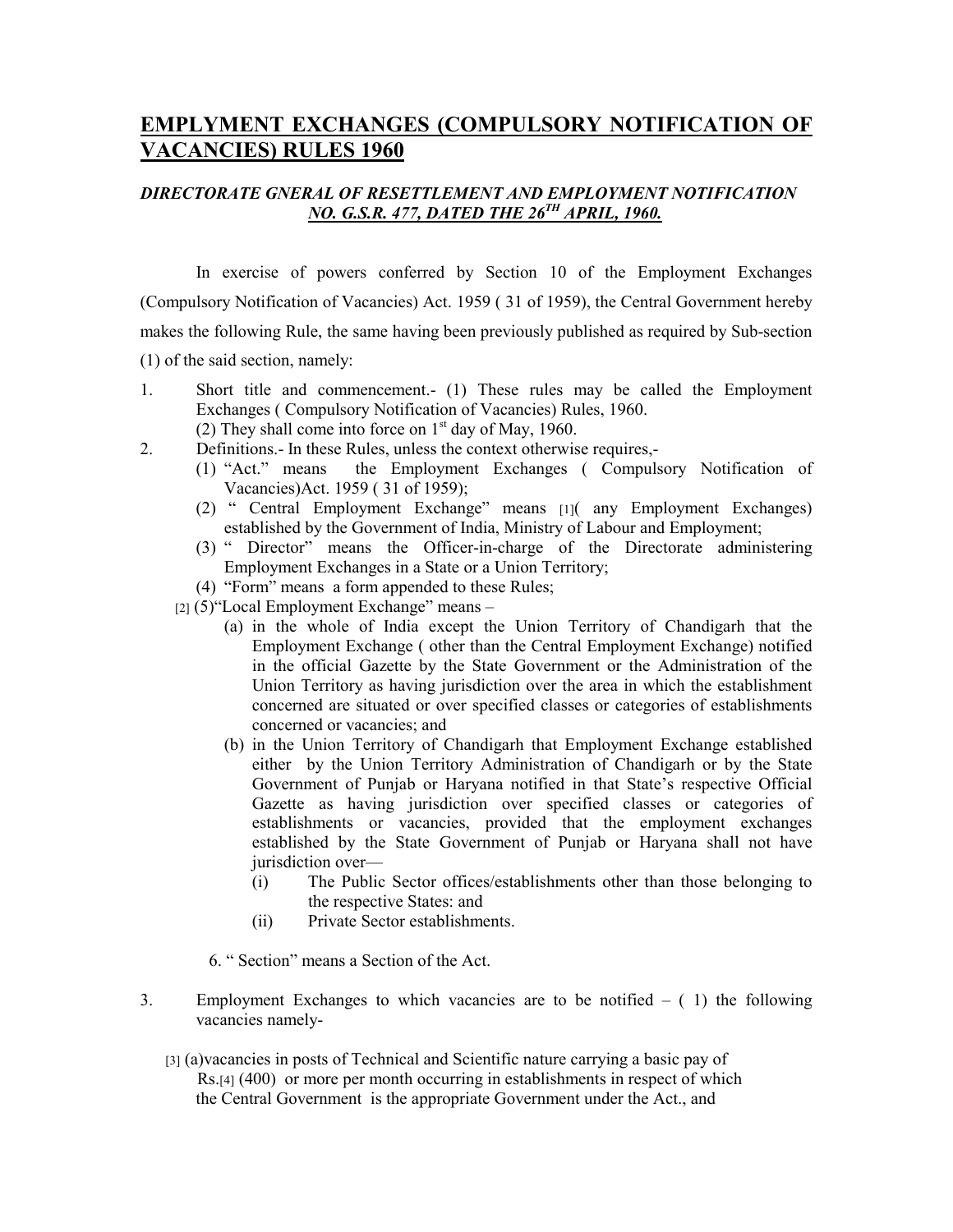# **EMPLYMENT EXCHANGES (COMPULSORY NOTIFICATION OF VACANCIES) RULES 1960**

## *DIRECTORATE GNERAL OF RESETTLEMENT AND EMPLOYMENT NOTIFICATION NO. G.S.R. 477, DATED THE 26TH APRIL, 1960.*

In exercise of powers conferred by Section 10 of the Employment Exchanges (Compulsory Notification of Vacancies) Act. 1959 ( 31 of 1959), the Central Government hereby makes the following Rule, the same having been previously published as required by Sub-section (1) of the said section, namely:

- 1. Short title and commencement.- (1) These rules may be called the Employment Exchanges ( Compulsory Notification of Vacancies) Rules, 1960. (2) They shall come into force on  $1<sup>st</sup>$  day of May, 1960.
- 2. Definitions.- In these Rules, unless the context otherwise requires,-
	- (1) "Act." means the Employment Exchanges ( Compulsory Notification of Vacancies)Act. 1959 ( 31 of 1959);
	- (2) " Central Employment Exchange" means [1]( any Employment Exchanges) established by the Government of India, Ministry of Labour and Employment;
	- (3) " Director" means the Officer-in-charge of the Directorate administering Employment Exchanges in a State or a Union Territory;
	- (4) "Form" means a form appended to these Rules;
	- [2] (5)"Local Employment Exchange" means
		- (a) in the whole of India except the Union Territory of Chandigarh that the Employment Exchange ( other than the Central Employment Exchange) notified in the official Gazette by the State Government or the Administration of the Union Territory as having jurisdiction over the area in which the establishment concerned are situated or over specified classes or categories of establishments concerned or vacancies; and
		- (b) in the Union Territory of Chandigarh that Employment Exchange established either by the Union Territory Administration of Chandigarh or by the State Government of Punjab or Haryana notified in that State's respective Official Gazette as having jurisdiction over specified classes or categories of establishments or vacancies, provided that the employment exchanges established by the State Government of Punjab or Haryana shall not have jurisdiction over—
			- (i) The Public Sector offices/establishments other than those belonging to the respective States: and
			- (ii) Private Sector establishments.

6. " Section" means a Section of the Act.

- 3. Employment Exchanges to which vacancies are to be notified  $-$  (1) the following vacancies namely-
	- [3] (a)vacancies in posts of Technical and Scientific nature carrying a basic pay of Rs.[4] (400) or more per month occurring in establishments in respect of which the Central Government is the appropriate Government under the Act., and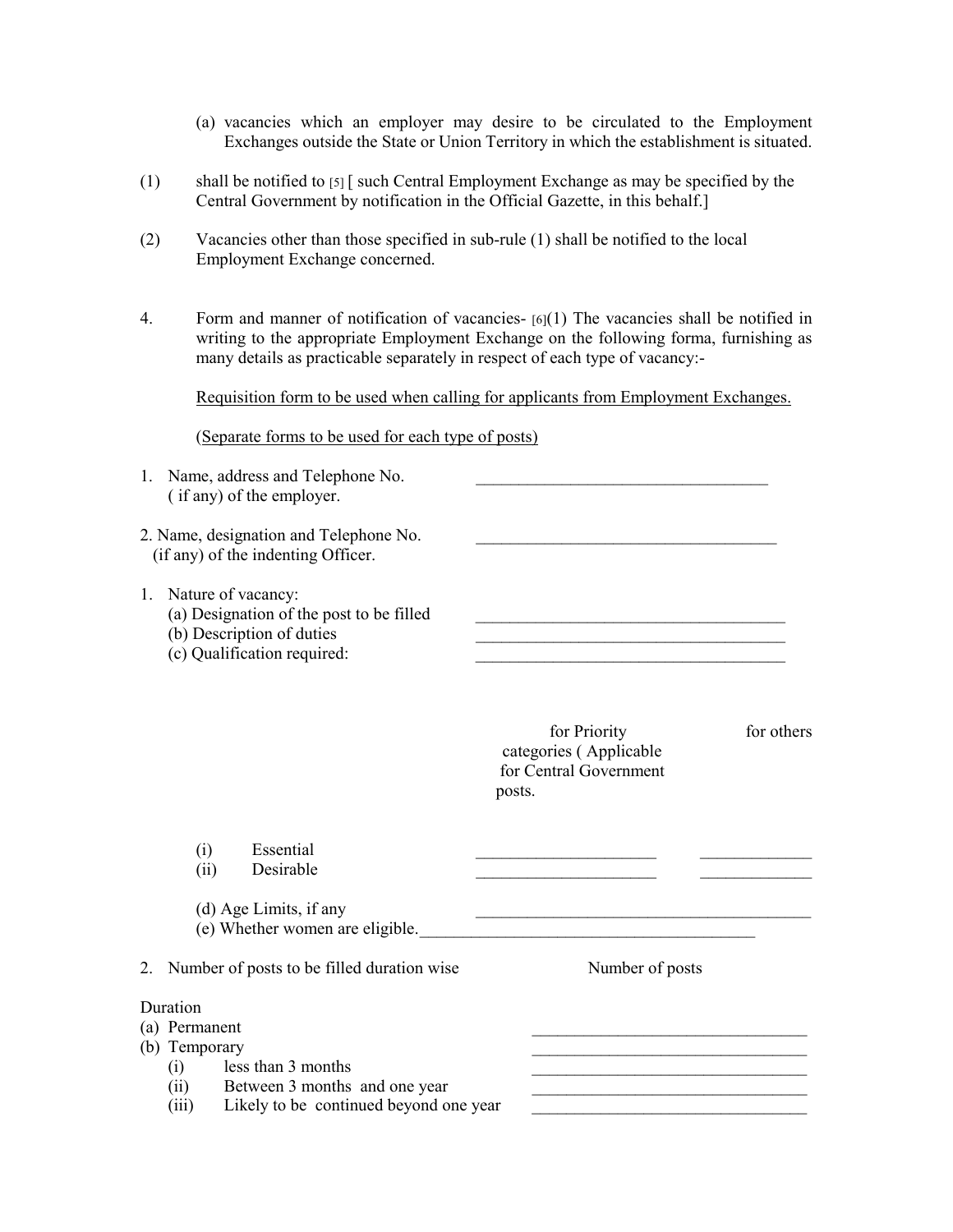- (a) vacancies which an employer may desire to be circulated to the Employment Exchanges outside the State or Union Territory in which the establishment is situated.
- (1) shall be notified to [5] [ such Central Employment Exchange as may be specified by the Central Government by notification in the Official Gazette, in this behalf.]
- (2) Vacancies other than those specified in sub-rule (1) shall be notified to the local Employment Exchange concerned.
- 4. Form and manner of notification of vacancies- [6](1) The vacancies shall be notified in writing to the appropriate Employment Exchange on the following forma, furnishing as many details as practicable separately in respect of each type of vacancy:-

Requisition form to be used when calling for applicants from Employment Exchanges.

(Separate forms to be used for each type of posts)

|         | 1. Name, address and Telephone No.<br>(if any) of the employer.                                                                                               |                                                                            |            |
|---------|---------------------------------------------------------------------------------------------------------------------------------------------------------------|----------------------------------------------------------------------------|------------|
|         | 2. Name, designation and Telephone No.<br>(if any) of the indenting Officer.                                                                                  |                                                                            |            |
|         | 1. Nature of vacancy:<br>(a) Designation of the post to be filled<br>(b) Description of duties<br>(c) Qualification required:                                 |                                                                            |            |
|         |                                                                                                                                                               | for Priority<br>categories (Applicable<br>for Central Government<br>posts. | for others |
|         | Essential<br>(i)<br>Desirable<br>(ii)                                                                                                                         |                                                                            |            |
|         | (d) Age Limits, if any<br>(e) Whether women are eligible.                                                                                                     | <u> 1989 - Johann Stein, mars an deutscher Stein († 1958)</u>              |            |
| $2_{-}$ | Number of posts to be filled duration wise                                                                                                                    | Number of posts                                                            |            |
|         | Duration<br>(a) Permanent<br>(b) Temporary<br>(i) less than 3 months<br>(ii) Between 3 months and one year<br>Likely to be continued beyond one year<br>(iii) |                                                                            |            |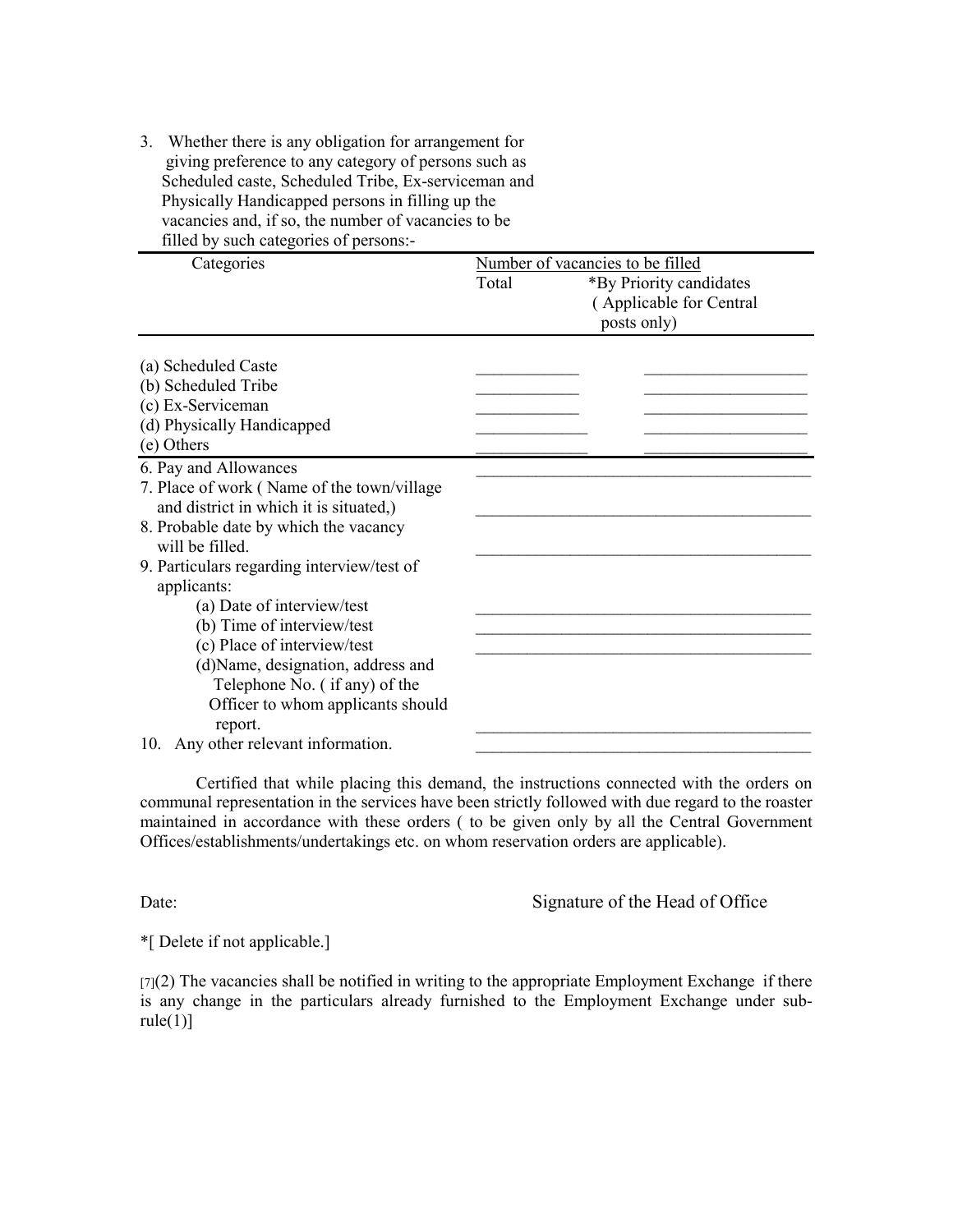3. Whether there is any obligation for arrangement for giving preference to any category of persons such as Scheduled caste, Scheduled Tribe, Ex-serviceman and Physically Handicapped persons in filling up the vacancies and, if so, the number of vacancies to be filled by such categories of persons:-

| Categories                                  | Number of vacancies to be filled |                         |  |  |
|---------------------------------------------|----------------------------------|-------------------------|--|--|
|                                             | Total                            | *By Priority candidates |  |  |
|                                             |                                  | (Applicable for Central |  |  |
|                                             |                                  | posts only)             |  |  |
|                                             |                                  |                         |  |  |
| (a) Scheduled Caste                         |                                  |                         |  |  |
| (b) Scheduled Tribe                         |                                  |                         |  |  |
| (c) Ex-Serviceman                           |                                  |                         |  |  |
| (d) Physically Handicapped                  |                                  |                         |  |  |
| (e) Others                                  |                                  |                         |  |  |
| 6. Pay and Allowances                       |                                  |                         |  |  |
| 7. Place of work (Name of the town/village) |                                  |                         |  |  |
| and district in which it is situated,)      |                                  |                         |  |  |
| 8. Probable date by which the vacancy       |                                  |                         |  |  |
| will be filled.                             |                                  |                         |  |  |
| 9. Particulars regarding interview/test of  |                                  |                         |  |  |
| applicants:                                 |                                  |                         |  |  |
| (a) Date of interview/test                  |                                  |                         |  |  |
| (b) Time of interview/test                  |                                  |                         |  |  |
| (c) Place of interview/test                 |                                  |                         |  |  |
| (d) Name, designation, address and          |                                  |                         |  |  |
| Telephone No. (if any) of the               |                                  |                         |  |  |
| Officer to whom applicants should           |                                  |                         |  |  |
| report.                                     |                                  |                         |  |  |
| Any other relevant information.<br>10.      |                                  |                         |  |  |

 Certified that while placing this demand, the instructions connected with the orders on communal representation in the services have been strictly followed with due regard to the roaster maintained in accordance with these orders ( to be given only by all the Central Government Offices/establishments/undertakings etc. on whom reservation orders are applicable).

Date: Signature of the Head of Office

\*[ Delete if not applicable.]

 $[7]$ (2) The vacancies shall be notified in writing to the appropriate Employment Exchange if there is any change in the particulars already furnished to the Employment Exchange under sub $rule(1)]$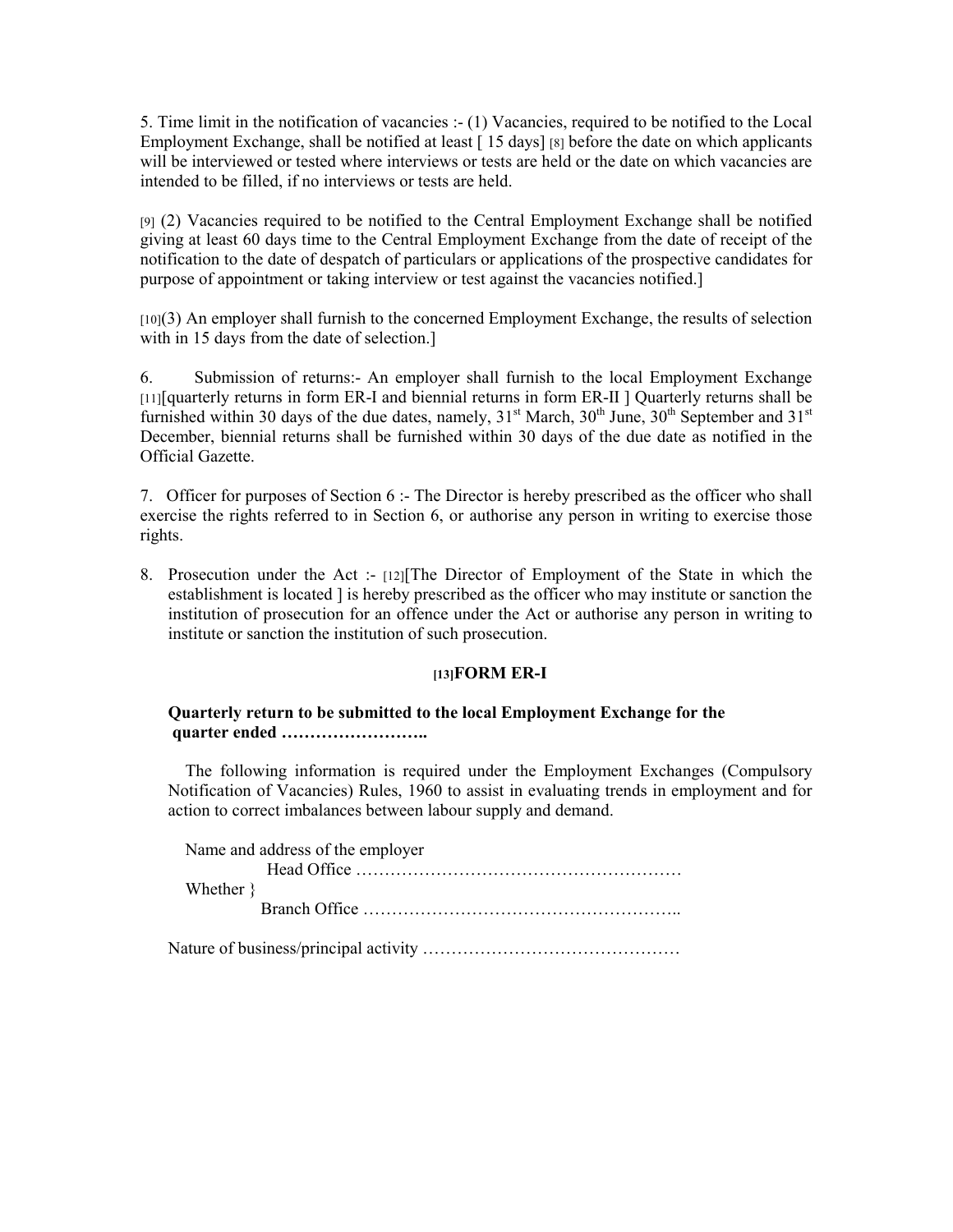5. Time limit in the notification of vacancies :- (1) Vacancies, required to be notified to the Local Employment Exchange, shall be notified at least [15 days] [8] before the date on which applicants will be interviewed or tested where interviews or tests are held or the date on which vacancies are intended to be filled, if no interviews or tests are held.

[9] (2) Vacancies required to be notified to the Central Employment Exchange shall be notified giving at least 60 days time to the Central Employment Exchange from the date of receipt of the notification to the date of despatch of particulars or applications of the prospective candidates for purpose of appointment or taking interview or test against the vacancies notified.]

[10](3) An employer shall furnish to the concerned Employment Exchange, the results of selection with in 15 days from the date of selection.]

6. Submission of returns:- An employer shall furnish to the local Employment Exchange [11][quarterly returns in form ER-I and biennial returns in form ER-II ] Quarterly returns shall be furnished within 30 days of the due dates, namely,  $31<sup>st</sup>$  March,  $30<sup>th</sup>$  June,  $30<sup>th</sup>$  September and  $31<sup>st</sup>$ December, biennial returns shall be furnished within 30 days of the due date as notified in the Official Gazette.

7. Officer for purposes of Section 6 :- The Director is hereby prescribed as the officer who shall exercise the rights referred to in Section 6, or authorise any person in writing to exercise those rights.

8. Prosecution under the Act :- [12][The Director of Employment of the State in which the establishment is located ] is hereby prescribed as the officer who may institute or sanction the institution of prosecution for an offence under the Act or authorise any person in writing to institute or sanction the institution of such prosecution.

## **[13]FORM ER-I**

### **Quarterly return to be submitted to the local Employment Exchange for the quarter ended ……………………..**

 The following information is required under the Employment Exchanges (Compulsory Notification of Vacancies) Rules, 1960 to assist in evaluating trends in employment and for action to correct imbalances between labour supply and demand.

| Name and address of the employer |
|----------------------------------|
|                                  |
| Whether }                        |
|                                  |
|                                  |

Nature of business/principal activity ………………………………………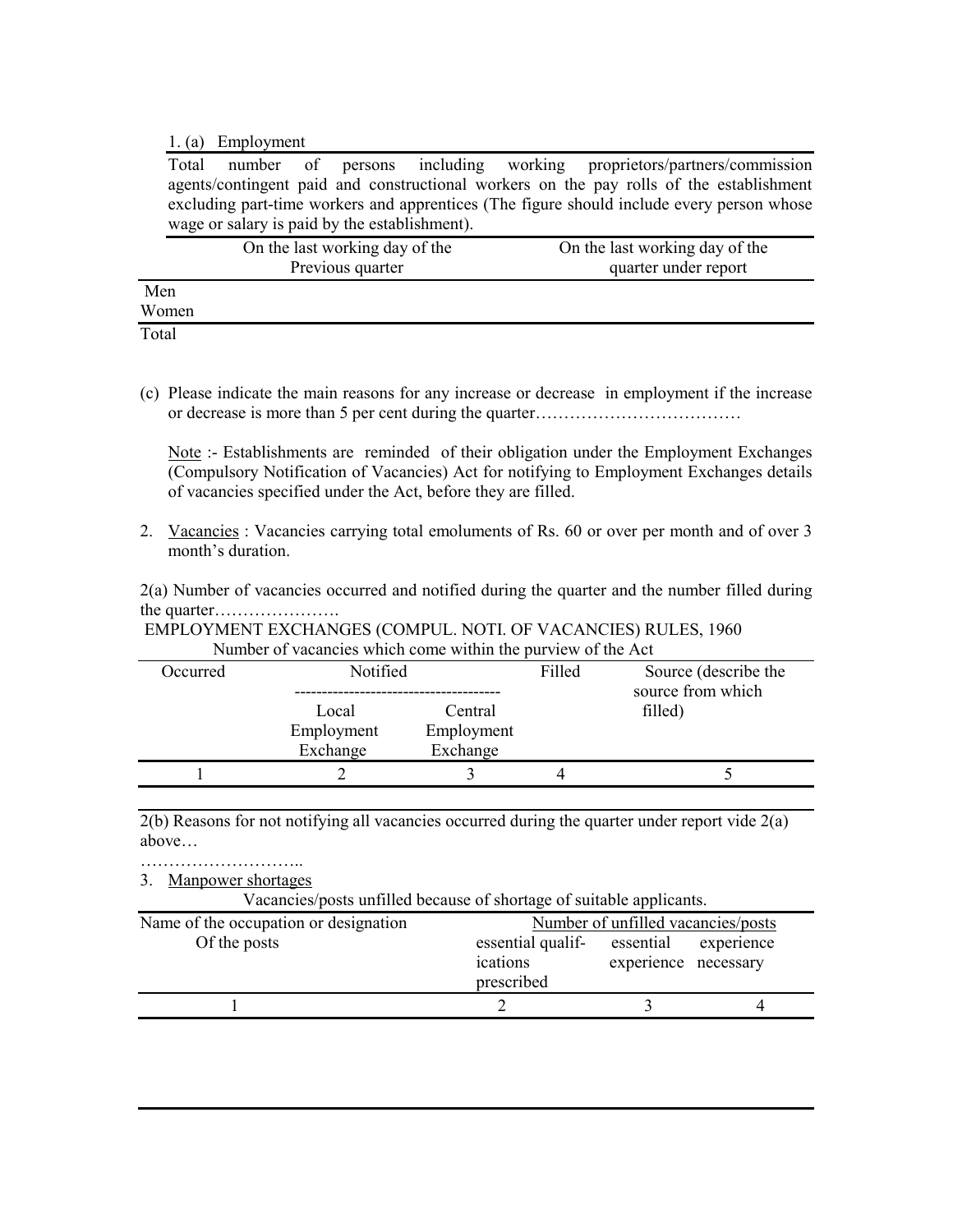1. (a) Employment

Total number of persons including working proprietors/partners/commission agents/contingent paid and constructional workers on the pay rolls of the establishment excluding part-time workers and apprentices (The figure should include every person whose wage or salary is paid by the establishment).

|       | On the last working day of the | On the last working day of the |
|-------|--------------------------------|--------------------------------|
|       | Previous quarter               | quarter under report           |
| Men   |                                |                                |
| Women |                                |                                |
| Total |                                |                                |

(c) Please indicate the main reasons for any increase or decrease in employment if the increase or decrease is more than 5 per cent during the quarter………………………………

Note :- Establishments are reminded of their obligation under the Employment Exchanges (Compulsory Notification of Vacancies) Act for notifying to Employment Exchanges details of vacancies specified under the Act, before they are filled.

2. Vacancies: Vacancies carrying total emoluments of Rs. 60 or over per month and of over 3 month's duration.

2(a) Number of vacancies occurred and notified during the quarter and the number filled during the quarter………………….

 EMPLOYMENT EXCHANGES (COMPUL. NOTI. OF VACANCIES) RULES, 1960 Number of vacancies which come within the purview of the Act

| Occurred | Notified                        |                                   | Filled | Source (describe the<br>source from which |  |
|----------|---------------------------------|-----------------------------------|--------|-------------------------------------------|--|
|          | Local<br>Employment<br>Exchange | Central<br>Employment<br>Exchange |        | filled)                                   |  |
|          |                                 |                                   |        |                                           |  |

2(b) Reasons for not notifying all vacancies occurred during the quarter under report vide 2(a) above…

…………………………… 3. Manpower shortages

Vacancies/posts unfilled because of shortage of suitable applicants.

| Name of the occupation or designation |                                             | Number of unfilled vacancies/posts |            |
|---------------------------------------|---------------------------------------------|------------------------------------|------------|
| Of the posts                          | essential qualif-<br>ications<br>prescribed | essential<br>experience necessary  | experience |
|                                       |                                             |                                    |            |
|                                       |                                             |                                    |            |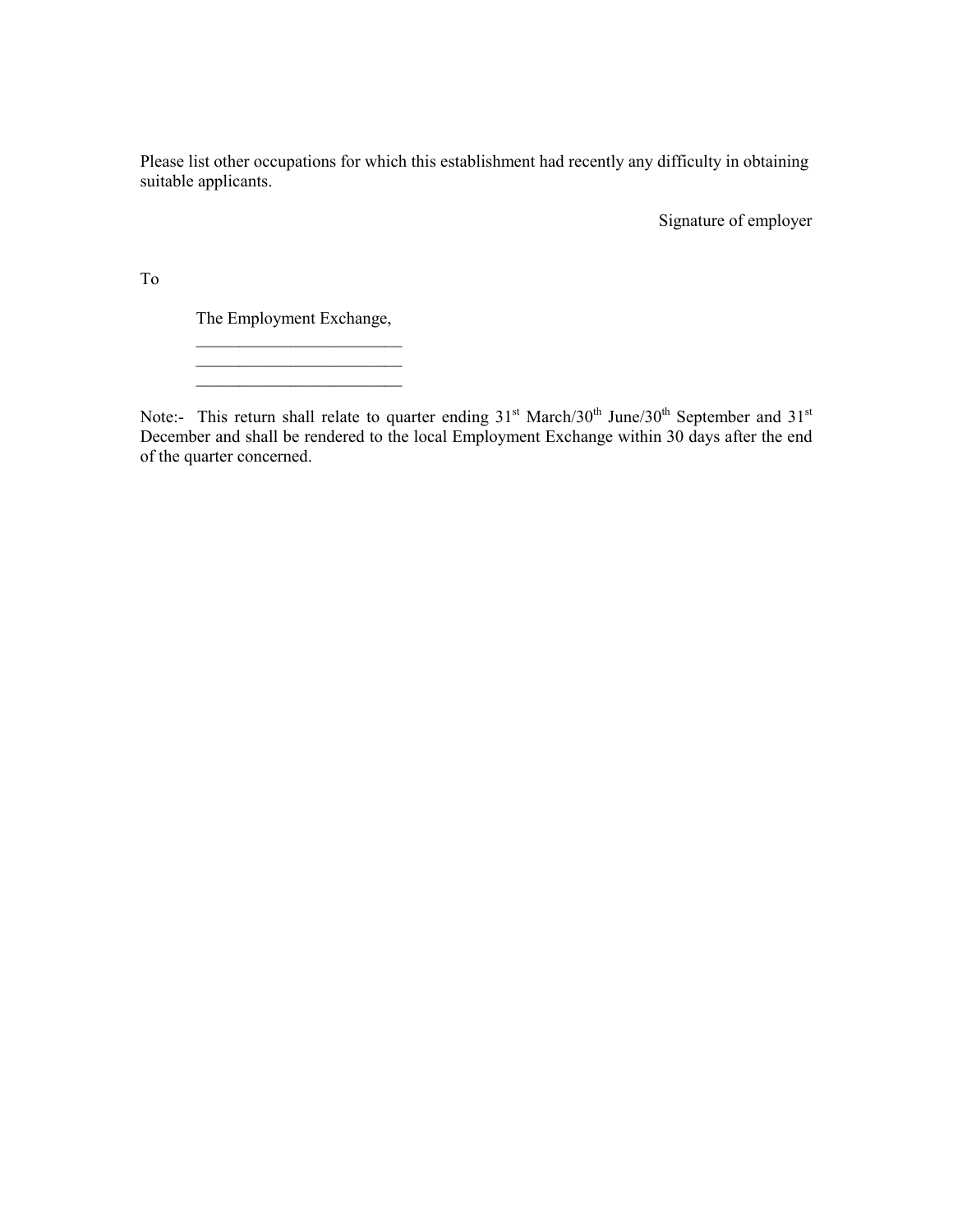Please list other occupations for which this establishment had recently any difficulty in obtaining suitable applicants.

Signature of employer

To

The Employment Exchange,

 \_\_\_\_\_\_\_\_\_\_\_\_\_\_\_\_\_\_\_\_\_\_\_\_ \_\_\_\_\_\_\_\_\_\_\_\_\_\_\_\_\_\_\_\_\_\_\_\_  $\mathcal{L}_\text{max}$ 

Note:- This return shall relate to quarter ending  $31<sup>st</sup> March/30<sup>th</sup> June/30<sup>th</sup> September and 31<sup>st</sup>$ December and shall be rendered to the local Employment Exchange within 30 days after the end of the quarter concerned.